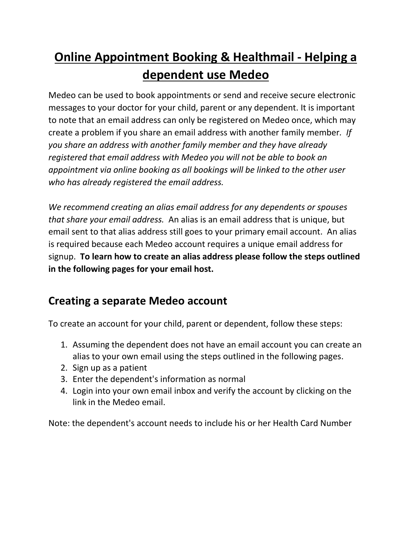# **Online Appointment Booking & Healthmail - Helping a dependent use Medeo**

Medeo can be used to book appointments or send and receive secure electronic messages to your doctor for your child, parent or any dependent. It is important to note that an email address can only be registered on Medeo once, which may create a problem if you share an email address with another family member*. If you share an address with another family member and they have already registered that email address with Medeo you will not be able to book an appointment via online booking as all bookings will be linked to the other user who has already registered the email address.* 

*We recommend creating an alias email address for any dependents or spouses that share your email address.* An alias is an email address that is unique, but email sent to that alias address still goes to your primary email account. An alias is required because each Medeo account requires a unique email address for signup. **To learn how to create an alias address please follow the steps outlined in the following pages for your email host.**

#### **Creating a separate Medeo account**

To create an account for your child, parent or dependent, follow these steps:

- 1. Assuming the dependent does not have an email account you can create an alias to your own email using the steps outlined in the following pages.
- 2. Sign up as a patient
- 3. Enter the dependent's information as normal
- 4. Login into your own email inbox and verify the account by clicking on the link in the Medeo email.

Note: the dependent's account needs to include his or her Health Card Number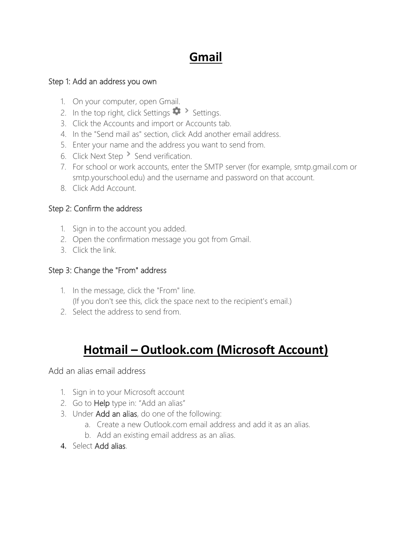## **Gmail**

#### Step 1: Add an address you own

- 1. On your computer, open [Gmail.](https://mail.google.com/)
- 2. In the top right, click Settings  $\bullet$  Settings.
- 3. Click the Accounts and import or Accounts tab.
- 4. In the "Send mail as" section, click Add another email address.
- 5. Enter your name and the address you want to send from.
- 6. Click Next Step Send verification.
- 7. For school or work accounts, enter the SMTP server (for example, smtp.gmail.com or smtp.yourschool.edu) and the username and password on that account.
- 8. Click Add Account.

#### Step 2: Confirm the address

- 1. Sign in to the account you added.
- 2. Open the confirmation message you got from Gmail.
- 3. Click the link.

#### Step 3: Change the "From" address

- 1. In the message, click the "From" line. (If you don't see this, click the space next to the recipient's email.)
- 2. Select the address to send from.

## **Hotmail – Outlook.com (Microsoft Account)**

Add an alias email address

- 1. Sign in to your Microsoft account
- 2. Go to **Help** type in: "Add an alias"
- 3. Under Add an alias, do one of the following:
	- a. Create a new Outlook.com email address and add it as an alias.
	- b. Add an existing email address as an alias.
- 4. Select Add alias.